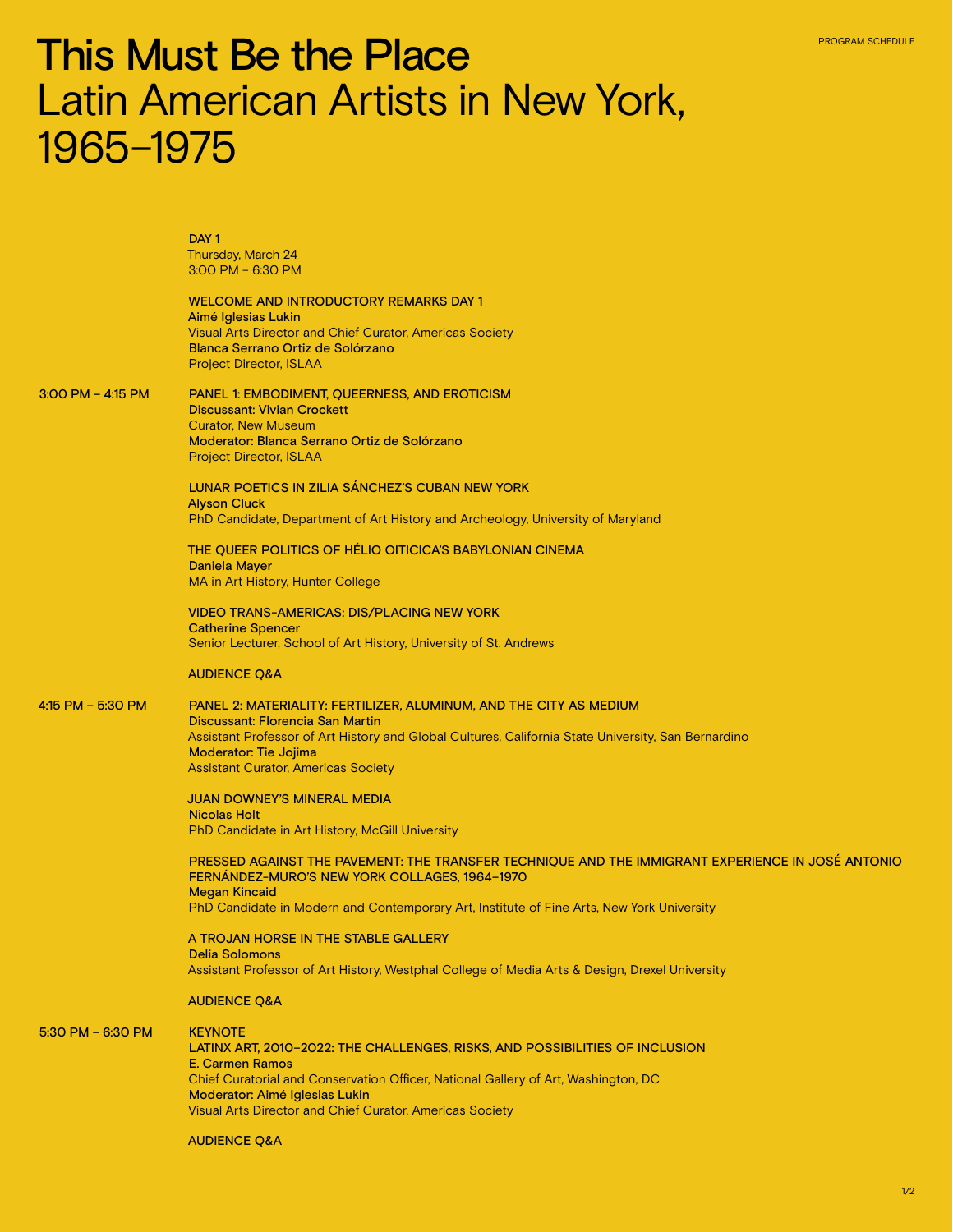# This Must Be the Place Latin American Artists in New York, 1965–1975

DAY<sub>1</sub> Thursday, March 24 3:00 PM – 6:30 PM

WELCOME AND INTRODUCTORY REMARKS DAY 1 Aimé Iglesias Lukin Visual Arts Director and Chief Curator, Americas Society Blanca Serrano Ortiz de Solórzano Project Director, ISLAA

3:00 PM – 4:15 PM PANEL 1: EMBODIMENT, QUEERNESS, AND EROTICISM Discussant: Vivian Crockett Curator, New Museum

Moderator: Blanca Serrano Ortiz de Solórzano Project Director, ISLAA

LUNAR POETICS IN ZILIA SÁNCHEZ'S CUBAN NEW YORK Alyson Cluck PhD Candidate, Department of Art History and Archeology, University of Maryland

THE QUEER POLITICS OF HÉLIO OITICICA'S BABYLONIAN CINEMA Daniela Mayer MA in Art History, Hunter College

VIDEO TRANS-AMERICAS: DIS/PLACING NEW YORK Catherine Spencer Senior Lecturer, School of Art History, University of St. Andrews

### AUDIENCE Q&A

4:15 PM – 5:30 PM PANEL 2: MATERIALITY: FERTILIZER, ALUMINUM, AND THE CITY AS MEDIUM Discussant: Florencia San Martin Assistant Professor of Art History and Global Cultures, California State University, San Bernardino Moderator: Tie Jojima Assistant Curator, Americas Society

> JUAN DOWNEY'S MINERAL MEDIA Nicolas Holt PhD Candidate in Art History, McGill University

PRESSED AGAINST THE PAVEMENT: THE TRANSFER TECHNIQUE AND THE IMMIGRANT EXPERIENCE IN JOSÉ ANTONIO FERNÁNDEZ-MURO'S NEW YORK COLLAGES, 1964–1970 Megan Kincaid

PhD Candidate in Modern and Contemporary Art, Institute of Fine Arts, New York University

A TROJAN HORSE IN THE STABLE GALLERY Delia Solomons Assistant Professor of Art History, Westphal College of Media Arts & Design, Drexel University

#### AUDIENCE Q&A

5:30 PM – 6:30 PM **KEYNOTE** LATINX ART, 2010–2022: THE CHALLENGES, RISKS, AND POSSIBILITIES OF INCLUSION E. Carmen Ramos Chief Curatorial and Conservation Officer, National Gallery of Art, Washington, DC Moderator: Aimé Iglesias Lukin Visual Arts Director and Chief Curator, Americas Society

#### AUDIENCE Q&A